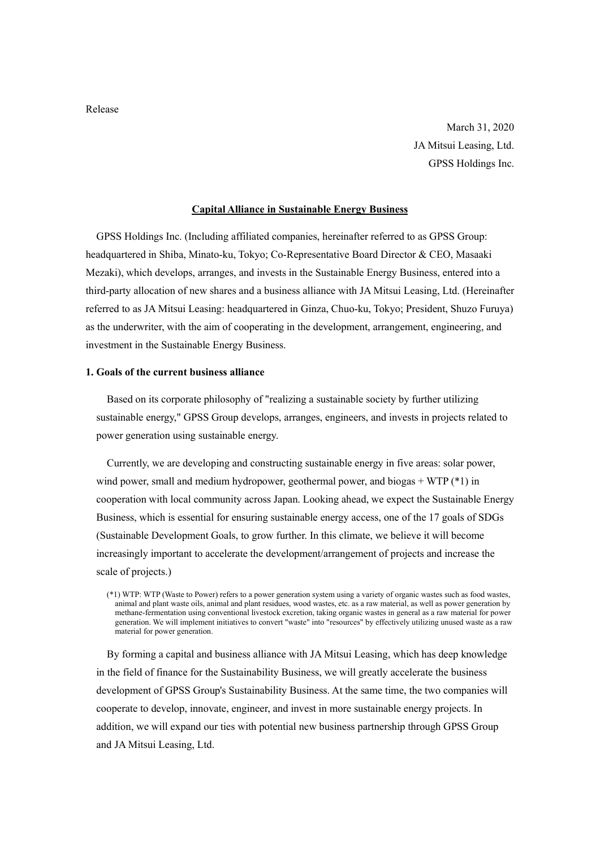Release

March 31, 2020 JA Mitsui Leasing, Ltd. GPSS Holdings Inc.

## Capital Alliance in Sustainable Energy Business

GPSS Holdings Inc. (Including affiliated companies, hereinafter referred to as GPSS Group: headquartered in Shiba, Minato-ku, Tokyo; Co-Representative Board Director & CEO, Masaaki Mezaki), which develops, arranges, and invests in the Sustainable Energy Business, entered into a third-party allocation of new shares and a business alliance with JA Mitsui Leasing, Ltd. (Hereinafter referred to as JA Mitsui Leasing: headquartered in Ginza, Chuo-ku, Tokyo; President, Shuzo Furuya) as the underwriter, with the aim of cooperating in the development, arrangement, engineering, and investment in the Sustainable Energy Business.

## 1. Goals of the current business alliance

Based on its corporate philosophy of "realizing a sustainable society by further utilizing sustainable energy," GPSS Group develops, arranges, engineers, and invests in projects related to power generation using sustainable energy.

Currently, we are developing and constructing sustainable energy in five areas: solar power, wind power, small and medium hydropower, geothermal power, and biogas + WTP  $(*)$  in cooperation with local community across Japan. Looking ahead, we expect the Sustainable Energy Business, which is essential for ensuring sustainable energy access, one of the 17 goals of SDGs (Sustainable Development Goals, to grow further. In this climate, we believe it will become increasingly important to accelerate the development/arrangement of projects and increase the scale of projects.)

By forming a capital and business alliance with JA Mitsui Leasing, which has deep knowledge in the field of finance for the Sustainability Business, we will greatly accelerate the business development of GPSS Group's Sustainability Business. At the same time, the two companies will cooperate to develop, innovate, engineer, and invest in more sustainable energy projects. In addition, we will expand our ties with potential new business partnership through GPSS Group and JA Mitsui Leasing, Ltd.

<sup>(\*1)</sup> WTP: WTP (Waste to Power) refers to a power generation system using a variety of organic wastes such as food wastes, animal and plant waste oils, animal and plant residues, wood wastes, etc. as a raw material, as well as power generation by methane-fermentation using conventional livestock excretion, taking organic wastes in general as a raw material for power generation. We will implement initiatives to convert "waste" into "resources" by effectively utilizing unused waste as a raw material for power generation.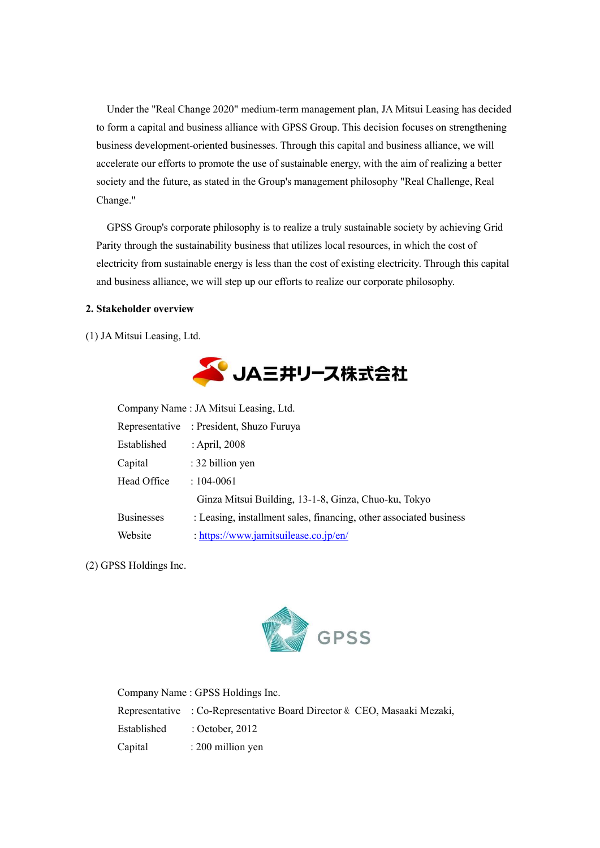Under the "Real Change 2020" medium-term management plan, JA Mitsui Leasing has decided to form a capital and business alliance with GPSS Group. This decision focuses on strengthening business development-oriented businesses. Through this capital and business alliance, we will accelerate our efforts to promote the use of sustainable energy, with the aim of realizing a better society and the future, as stated in the Group's management philosophy "Real Challenge, Real Change."

GPSS Group's corporate philosophy is to realize a truly sustainable society by achieving Grid Parity through the sustainability business that utilizes local resources, in which the cost of electricity from sustainable energy is less than the cost of existing electricity. Through this capital and business alliance, we will step up our efforts to realize our corporate philosophy.

## 2. Stakeholder overview

(1) JA Mitsui Leasing, Ltd.



| Company Name : JA Mitsui Leasing, Ltd. |                                                                    |  |
|----------------------------------------|--------------------------------------------------------------------|--|
|                                        | Representative : President, Shuzo Furuya                           |  |
| Established                            | : April, 2008                                                      |  |
| Capital                                | : 32 billion yen                                                   |  |
| Head Office                            | $: 104 - 0061$                                                     |  |
|                                        | Ginza Mitsui Building, 13-1-8, Ginza, Chuo-ku, Tokyo               |  |
| <b>Businesses</b>                      | : Leasing, installment sales, financing, other associated business |  |
| Website                                | : https://www.jamitsuilease.co.jp/en/                              |  |

(2) GPSS Holdings Inc.



| Company Name: GPSS Holdings Inc.                                         |
|--------------------------------------------------------------------------|
| Representative : Co-Representative Board Director & CEO, Masaaki Mezaki, |
| Established : October, 2012                                              |
| Capital : 200 million yen                                                |